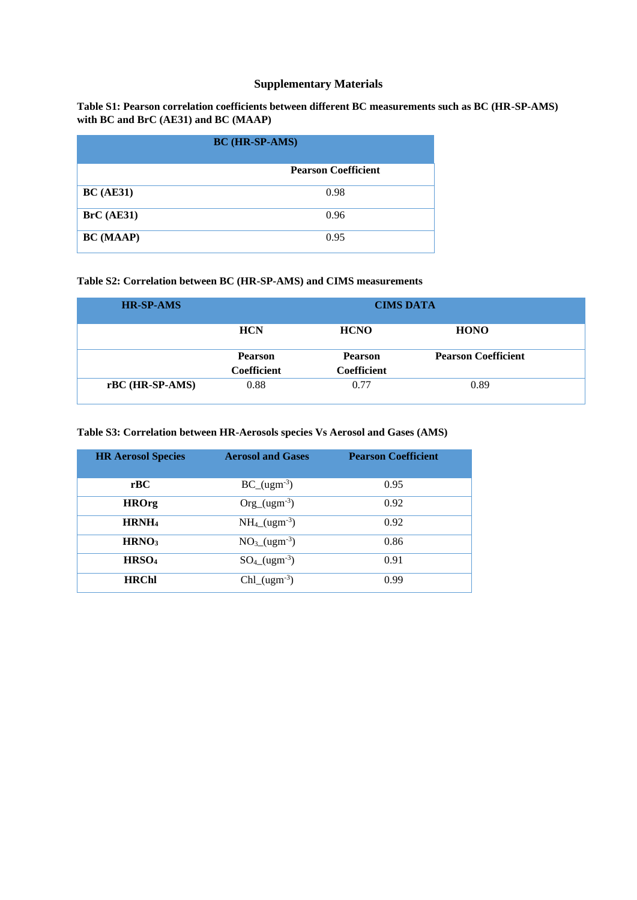# **Supplementary Materials**

**Table S1: Pearson correlation coefficients between different BC measurements such as BC (HR-SP-AMS) with BC and BrC (AE31) and BC (MAAP)**

| <b>BC</b> (HR-SP-AMS) |                            |  |
|-----------------------|----------------------------|--|
|                       | <b>Pearson Coefficient</b> |  |
| BC(AE31)              | 0.98                       |  |
| BrC (AE31)            | 0.96                       |  |
| <b>BC</b> (MAAP)      | 0.95                       |  |

### **Table S2: Correlation between BC (HR-SP-AMS) and CIMS measurements**

| <b>HR-SP-AMS</b> | <b>CIMS DATA</b>                     |                                      |                            |
|------------------|--------------------------------------|--------------------------------------|----------------------------|
|                  | <b>HCN</b>                           | <b>HCNO</b>                          | <b>HONO</b>                |
|                  | <b>Pearson</b><br><b>Coefficient</b> | <b>Pearson</b><br><b>Coefficient</b> | <b>Pearson Coefficient</b> |
| rBC (HR-SP-AMS)  | 0.88                                 | 0.77                                 | 0.89                       |

## **Table S3: Correlation between HR-Aerosols species Vs Aerosol and Gases (AMS)**

| <b>HR Aerosol Species</b> | <b>Aerosol and Gases</b>            | <b>Pearson Coefficient</b> |
|---------------------------|-------------------------------------|----------------------------|
| rBC                       | $BC_{ugm^{-3}}$                     | 0.95                       |
| <b>HROrg</b>              | $Org_{u} (ugm^{-3})$                | 0.92                       |
| HRNH <sub>4</sub>         | $NH_4 (ugm^{-3})$                   | 0.92                       |
| HRNO <sub>3</sub>         | $NO3(ugm-3)$                        | 0.86                       |
| HRSO <sub>4</sub>         | $SO_{4}$ (ugm <sup>-3</sup> )       | 0.91                       |
| <b>HRChl</b>              | $Chl$ <sub>(ugm<sup>-3</sup>)</sub> | 0.99                       |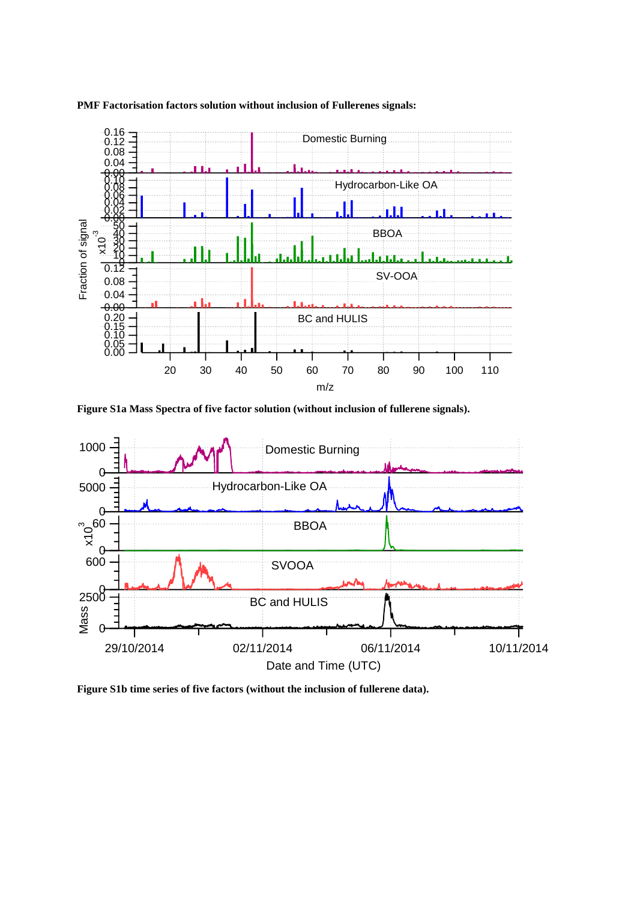# **PMF Factorisation factors solution without inclusion of Fullerenes signals:**



**Figure S1a Mass Spectra of five factor solution (without inclusion of fullerene signals).**



**Figure S1b time series of five factors (without the inclusion of fullerene data).**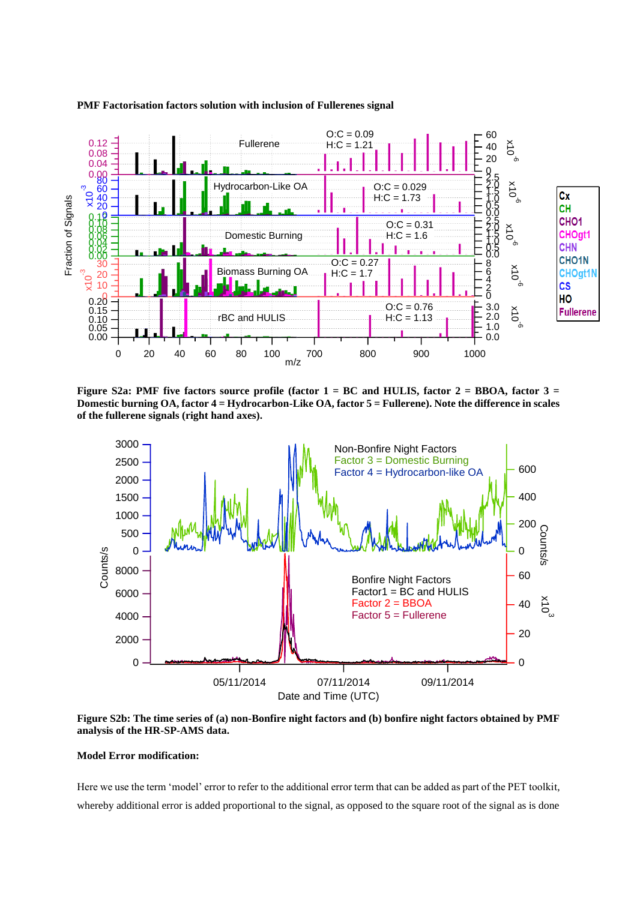

#### **PMF Factorisation factors solution with inclusion of Fullerenes signal**

Figure S2a: PMF five factors source profile (factor 1 = BC and HULIS, factor 2 = BBOA, factor 3 = **Domestic burning OA, factor 4 = Hydrocarbon-Like OA, factor 5 = Fullerene). Note the difference in scales of the fullerene signals (right hand axes).**



**Figure S2b: The time series of (a) non-Bonfire night factors and (b) bonfire night factors obtained by PMF analysis of the HR-SP-AMS data.** 

#### **Model Error modification:**

Here we use the term 'model' error to refer to the additional error term that can be added as part of the PET toolkit, whereby additional error is added proportional to the signal, as opposed to the square root of the signal as is done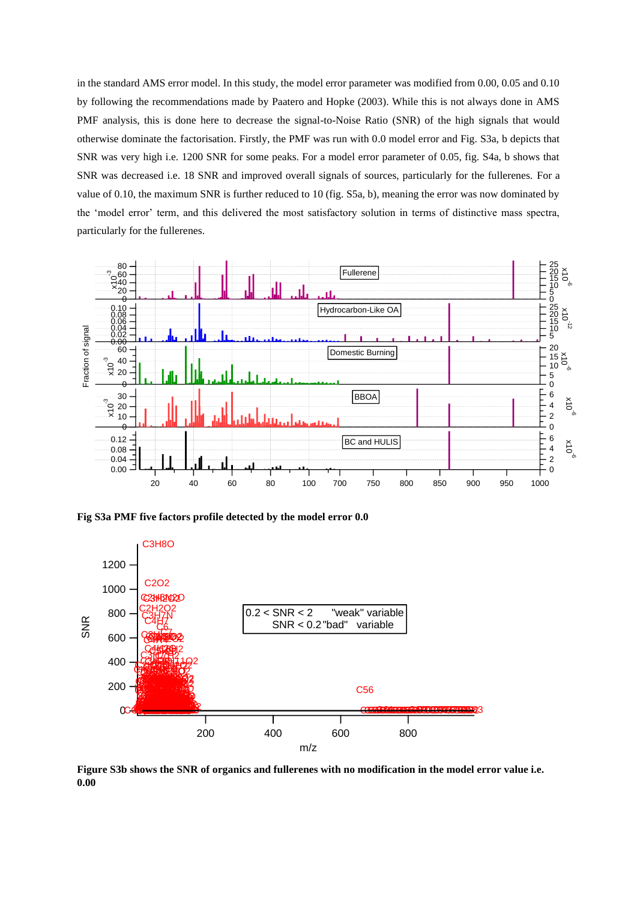in the standard AMS error model. In this study, the model error parameter was modified from 0.00, 0.05 and 0.10 by following the recommendations made by Paatero and Hopke (2003). While this is not always done in AMS PMF analysis, this is done here to decrease the signal-to-Noise Ratio (SNR) of the high signals that would otherwise dominate the factorisation. Firstly, the PMF was run with 0.0 model error and Fig. S3a, b depicts that SNR was very high i.e. 1200 SNR for some peaks. For a model error parameter of 0.05, fig. S4a, b shows that SNR was decreased i.e. 18 SNR and improved overall signals of sources, particularly for the fullerenes. For a value of 0.10, the maximum SNR is further reduced to 10 (fig. S5a, b), meaning the error was now dominated by the 'model error' term, and this delivered the most satisfactory solution in terms of distinctive mass spectra, particularly for the fullerenes.



**Fig S3a PMF five factors profile detected by the model error 0.0**



**Figure S3b shows the SNR of organics and fullerenes with no modification in the model error value i.e. 0.00**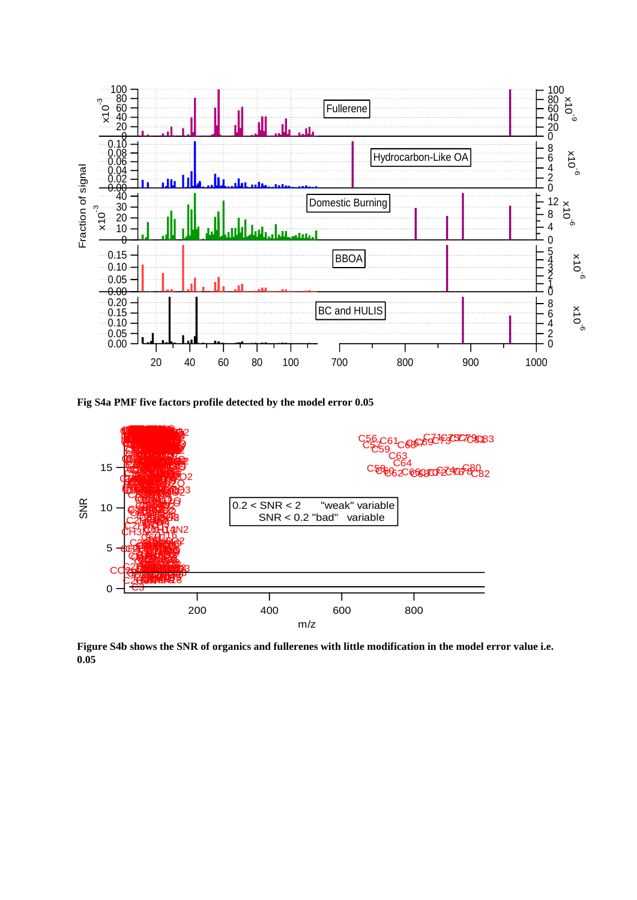

**Fig S4a PMF five factors profile detected by the model error 0.05**



**Figure S4b shows the SNR of organics and fullerenes with little modification in the model error value i.e. 0.05**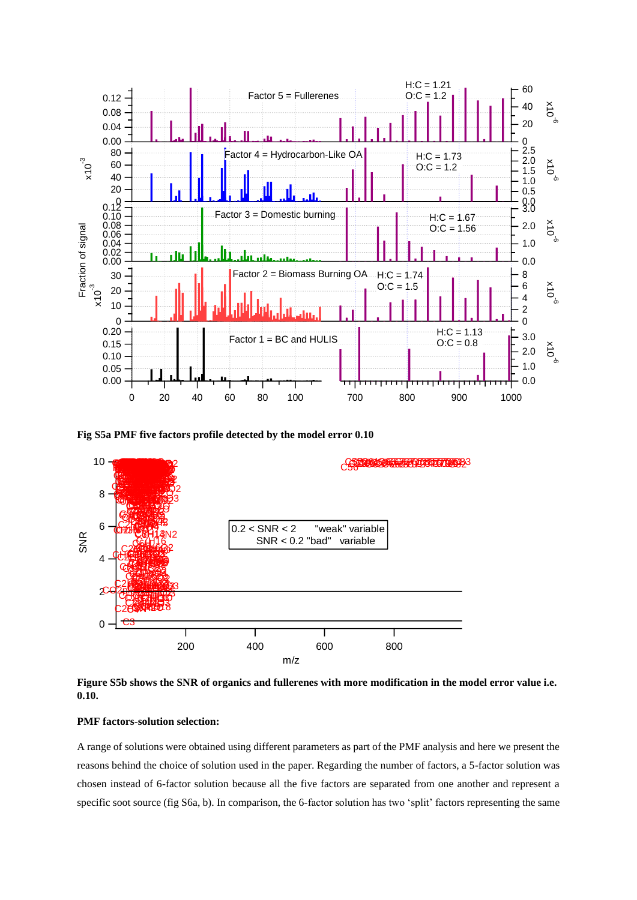

**Fig S5a PMF five factors profile detected by the model error 0.10**



**Figure S5b shows the SNR of organics and fullerenes with more modification in the model error value i.e. 0.10.**

## **PMF factors-solution selection:**

A range of solutions were obtained using different parameters as part of the PMF analysis and here we present the reasons behind the choice of solution used in the paper. Regarding the number of factors, a 5-factor solution was chosen instead of 6-factor solution because all the five factors are separated from one another and represent a specific soot source (fig S6a, b). In comparison, the 6-factor solution has two 'split' factors representing the same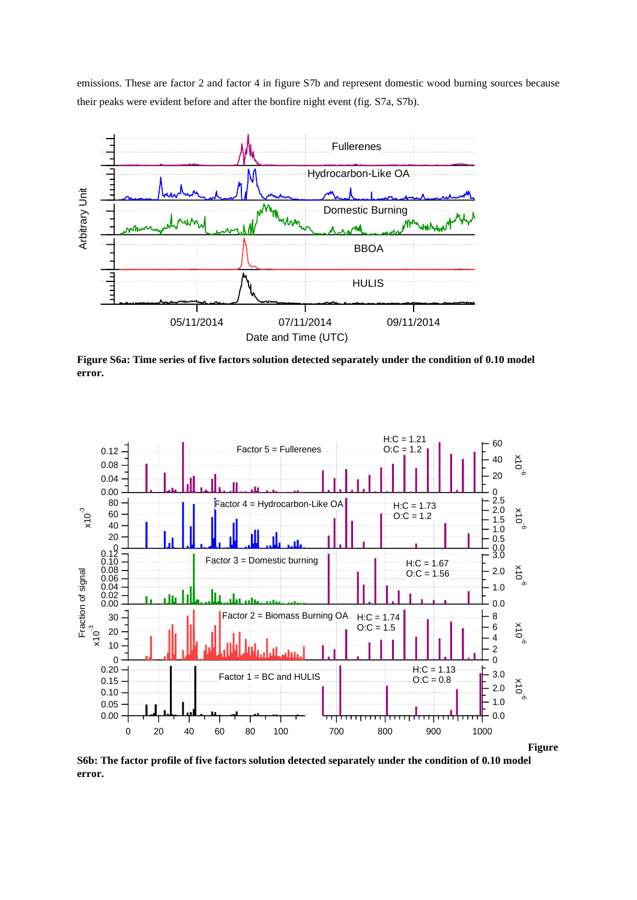emissions. These are factor 2 and factor 4 in figure S7b and represent domestic wood burning sources because their peaks were evident before and after the bonfire night event (fig. S7a, S7b).



**Figure S6a: Time series of five factors solution detected separately under the condition of 0.10 model error.**



**S6b: The factor profile of five factors solution detected separately under the condition of 0.10 model error.**